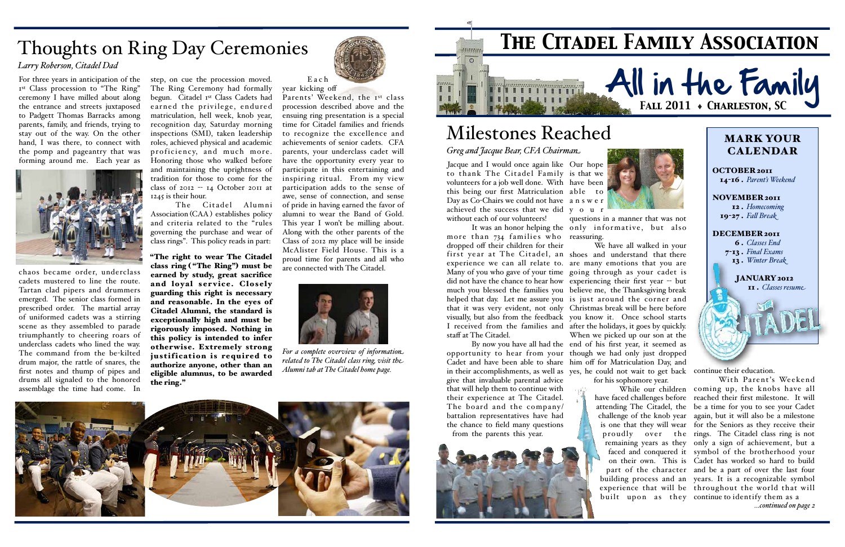

### MARK YOUR CALENDAR

NOVEMBER 2011 12 . *Homecoming* 19-27. *Fall Break* 

#### DECEMBER 2011

OCTOBER 2011 14-16 . *Parent's Weekend*

> 6 . *Classes End* 7-13 . *Final Exams* 13 . *Winter Break*

> > JANUARY 2012 11 . *Classes resume*

Jacque and I would once again like Our hope to thank The Citadel Family is that we volunteers for a job well done. With have been this being our first Matriculation able to Day as Co-Chairs we could not have a n s w e r achieved the success that we did y o u r without each of our volunteers!

It was an honor helping the only informative, but also questions in a manner that was not

more than 734 families who reassuring. dropped off their children for their staff at The Citadel.

give that invaluable parental advice that will help them to continue with their experience at The Citadel. The board and the company/ battalion representatives have had the chance to field many questions from the parents this year.



ng Ar

first year at The Citadel, an shoes and understand that there experience we can all relate to. are many emotions that you are Many of you who gave of your time going through as your cadet is did not have the chance to hear how experiencing their first year -- but much you blessed the families you believe me, the Thanksgiving break helped that day. Let me assure you is just around the corner and that it was very evident, not only Christmas break will be here before visually, but also from the feedback you know it. Once school starts I received from the families and after the holidays, it goes by quickly. By now you have all had the end of his first year, it seemed as opportunity to hear from your though we had only just dropped Cadet and have been able to share him off for Matriculation Day, and in their accomplishments, as well as yes, he could not wait to get back continue their education. We have all walked in your When we picked up our son at the

# **All in the Family** *Fall 2011* ♦ *Charleston, SC*



for his sophomore year.

While our children coming up, the knobs have all have faced challenges before reached their first milestone. It will attending The Citadel, the be a time for you to see your Cadet challenge of the knob year again, but it will also be a milestone is one that they will wear for the Seniors as they receive their proudly over the rings. The Citadel class ring is not remaining years as they only a sign of achievement, but a faced and conquered it symbol of the brotherhood your on their own. This is Cadet has worked so hard to build part of the character and be a part of over the last four building process and an years. It is a recognizable symbol experience that will be throughout the world that will built upon as they continue to identify them as a With Parent's Weekend

# *The Citadel Family Association*

## Milestones Reached

Parents' Weekend, the 1st class procession described above and the ensuing ring presentation is a special time for Citadel families and friends to recognize the excellence and achievements of senior cadets. CFA parents, your underclass cadet will have the opportunity every year to participate in this entertaining and inspiring ritual. From my view participation adds to the sense of awe, sense of connection, and sense of pride in having earned the favor of alumni to wear the Band of Gold. This year I won't be milling about. Along with the other parents of the Class of 2012 my place will be inside McAlister Field House. This is a proud time for parents and all who are connected with The Citadel.

*Greg and Jacque Bear, CFA Chairman*

*...continued on page 2*

## Thoughts on Ring Day Ceremonies

#### *Larry Roberson, Citadel Dad*

For three years in anticipation of the Ist Class procession to "The Ring" ceremony I have milled about along the entrance and streets juxtaposed to Padgett Thomas Barracks among parents, family, and friends, trying to stay out of the way. On the other hand, I was there, to connect with the pomp and pageantry that was forming around me. Each year as



chaos became order, underclass cadets mustered to line the route. Tartan clad pipers and drummers emerged. The senior class formed in prescribed order. The martial array of uniformed cadets was a stirring scene as they assembled to parade triumphantly to cheering roars of underclass cadets who lined the way. The command from the be-kilted drum major, the rattle of snares, the first notes and thump of pipes and drums all signaled to the honored assemblage the time had come. In

step, on cue the procession moved. The Ring Ceremony had formally begun. Citadel 1st Class Cadets had earned the privilege, endured matriculation, hell week, knob year, recognition day, Saturday morning inspections (SMI), taken leadership roles, achieved physical and academic proficiency, and much more. Honoring those who walked before and maintaining the uprightness of tradition for those to come for the class of 2012  $-$  14 October 2011 at 1245 is their hour.

The Citadel Alumni Association (CAA ) establishes policy and criteria related to the "rules governing the purchase and wear of class rings". This policy reads in part:

"The right to wear The Citadel class ring ( "The Ring") must be earned by study, great sacrifice and loyal service. Closely guarding this right is necessary and reasonable. In the eyes of Citadel Alumni, the standard is exceptionally high and must be rigorously imposed. Nothing in this policy is intended to infer otherwise. Extremely strong justification is required to authorize anyone, other than an eligible alumnus, to be awarded the ring."



E a c h year kicking off



*For a complete overview of information related to The Citadel class ring, visit the Alumni tab at The Citadel home page.*